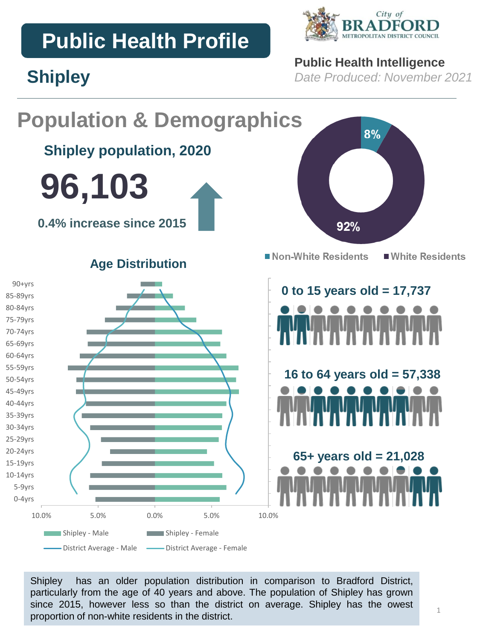# **Public Health Profile**

**Shipley**



### **Public Health Intelligence**

*Date Produced: November 2021*

#### **Population & Demographics** 8% **Shipley population, 2020 96,103 0.4% increase since 2015** 92% Non-White Residents ■ White Residents **Age Distribution** 90+yrs **0 to 15 years old = 17,737** 85-89yrs 80-84yrs 75-79yrs 70-74yrs 65-69yrs 60-64yrs 55-59yrs **16 to 64 years old = 57,338** 50-54yrs 45-49yrs 40-44yrs 35-39yrs 30-34yrs 25-29yrs 20-24yrs **65+ years old = 21,028** 15-19yrs 10-14yrs 5-9yrs 0-4yrs 10.0% 5.0% 0.0% 5.0% 10.0% Shipley - Male Shipley - Female - District Average - Male - District Average - Female

Shipley has an older population distribution in comparison to Bradford District, particularly from the age of 40 years and above. The population of Shipley has grown since 2015, however less so than the district on average. Shipley has the owest proportion of non-white residents in the district.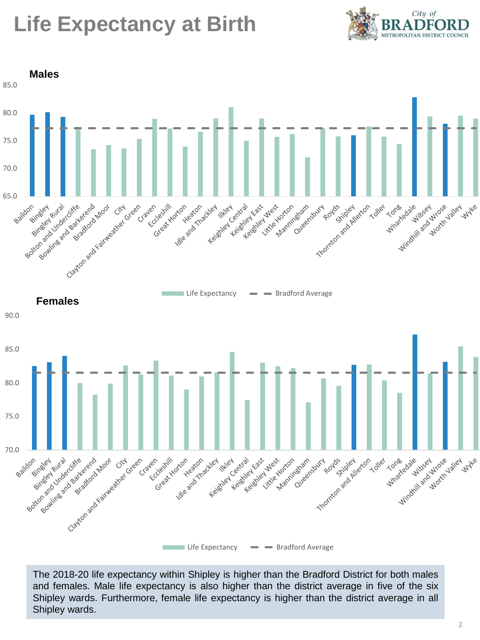# **Life Expectancy at Birth**





The 2018-20 life expectancy within Shipley is higher than the Bradford District for both males and females. Male life expectancy is also higher than the district average in five of the six Shipley wards. Furthermore, female life expectancy is higher than the district average in all Shipley wards.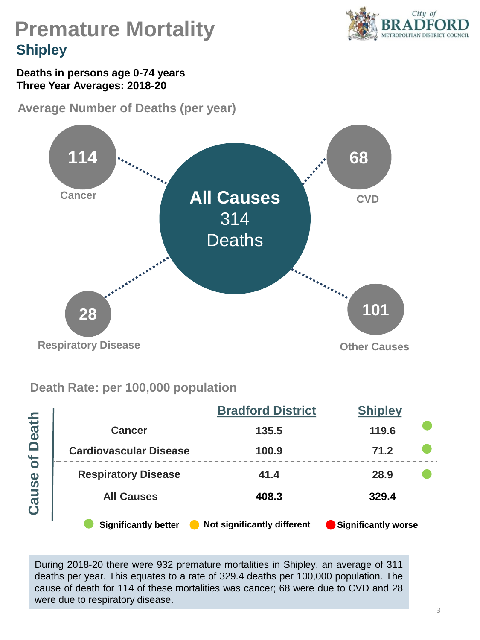

# **Premature Mortality Shipley**

#### **Deaths in persons age 0-74 years Three Year Averages: 2018-20**

**Average Number of Deaths (per year)** 



### **Death Rate: per 100,000 population**

|              |                               | <b>Bradford District</b>    | <b>Shipley</b>      |  |  |
|--------------|-------------------------------|-----------------------------|---------------------|--|--|
| <b>Death</b> | <b>Cancer</b>                 | 135.5                       | 119.6               |  |  |
| bf           | <b>Cardiovascular Disease</b> | 100.9                       | 71.2                |  |  |
|              | <b>Respiratory Disease</b>    | 41.4                        | 28.9                |  |  |
| Cause        | <b>All Causes</b>             | 408.3                       | 329.4               |  |  |
|              | <b>Significantly better</b>   | Not significantly different | Significantly worse |  |  |

During 2018-20 there were 932 premature mortalities in Shipley, an average of 311 deaths per year. This equates to a rate of 329.4 deaths per 100,000 population. The cause of death for 114 of these mortalities was cancer; 68 were due to CVD and 28 were due to respiratory disease.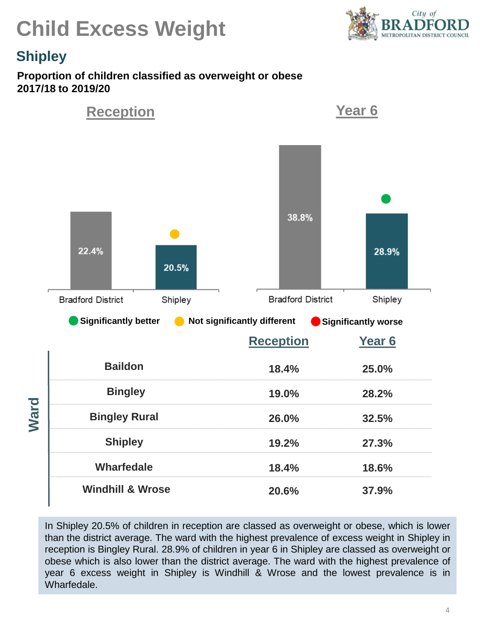



### **Shipley**

#### **Proportion of children classified as overweight or obese 2017/18 to 2019/20**



In Shipley 20.5% of children in reception are classed as overweight or obese, which is lower than the district average. The ward with the highest prevalence of excess weight in Shipley in reception is Bingley Rural. 28.9% of children in year 6 in Shipley are classed as overweight or obese which is also lower than the district average. The ward with the highest prevalence of year 6 excess weight in Shipley is Windhill & Wrose and the lowest prevalence is in Wharfedale.